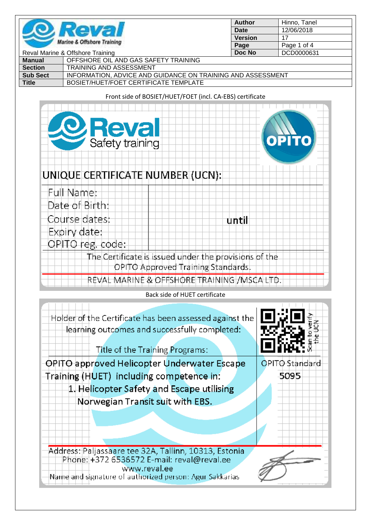

| <b>Author</b>  | Hinno, Tanel |
|----------------|--------------|
| Date           | 12/06/2018   |
| <b>Version</b> | 17           |
| Page           | Page 1 of 4  |
| Doc No         | DCD0000631   |

| Reval Marine & Offshore Training |                                                             | Doc No | DCD0000631 |
|----------------------------------|-------------------------------------------------------------|--------|------------|
| Manual                           | OFFSHORE OIL AND GAS SAFETY TRAINING                        |        |            |
| <b>Section</b>                   | <b>TRAINING AND ASSESSMENT</b>                              |        |            |
| <b>Sub Sect</b>                  | INFORMATION, ADVICE AND GUIDANCE ON TRAINING AND ASSESSMENT |        |            |
| <b>Title</b>                     | BOSIET/HUET/FOET CERTIFICATE TEMPLATE                       |        |            |

## Front side of BOSIET/HUET/FOET (incl. CA-EBS) certificate

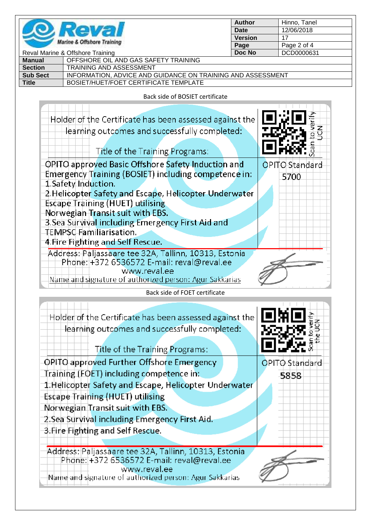

| <b>Author</b>  | Hinno, Tanel |
|----------------|--------------|
| Date           | 12/06/2018   |
| <b>Version</b> | 17           |
| Page           | Page 2 of 4  |
| <b>Doc No</b>  | DCD0000631   |
|                |              |

| Reval Marine & Offshore Training |                                                             | Doc No | DCD0000631 |
|----------------------------------|-------------------------------------------------------------|--------|------------|
| Manual                           | OFFSHORE OIL AND GAS SAFETY TRAINING                        |        |            |
| <b>Section</b>                   | <b>TRAINING AND ASSESSMENT</b>                              |        |            |
| <b>Sub Sect</b>                  | INFORMATION, ADVICE AND GUIDANCE ON TRAINING AND ASSESSMENT |        |            |
| <b>Title</b>                     | BOSIET/HUET/FOET CERTIFICATE TEMPLATE                       |        |            |
|                                  |                                                             |        |            |

Back side of BOSIET certificate

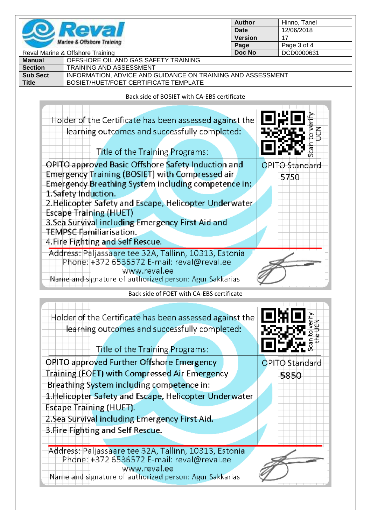

| Author         | Hinno, Tanel |
|----------------|--------------|
| Date           | 12/06/2018   |
| <b>Version</b> | 17           |
| Page           | Page 3 of 4  |
| <b>Doc No</b>  | DCD0000631   |
|                |              |

| Reval Marine & Offshore Training |                                                             | Doc No | DCD0000631 |
|----------------------------------|-------------------------------------------------------------|--------|------------|
| Manual                           | OFFSHORE OIL AND GAS SAFETY TRAINING                        |        |            |
| <b>Section</b>                   | <b>TRAINING AND ASSESSMENT</b>                              |        |            |
| <b>Sub Sect</b>                  | INFORMATION, ADVICE AND GUIDANCE ON TRAINING AND ASSESSMENT |        |            |
| <b>Title</b>                     | BOSIET/HUET/FOET CERTIFICATE TEMPLATE                       |        |            |
|                                  |                                                             |        |            |

Back side of BOSIET with CA-EBS certificate